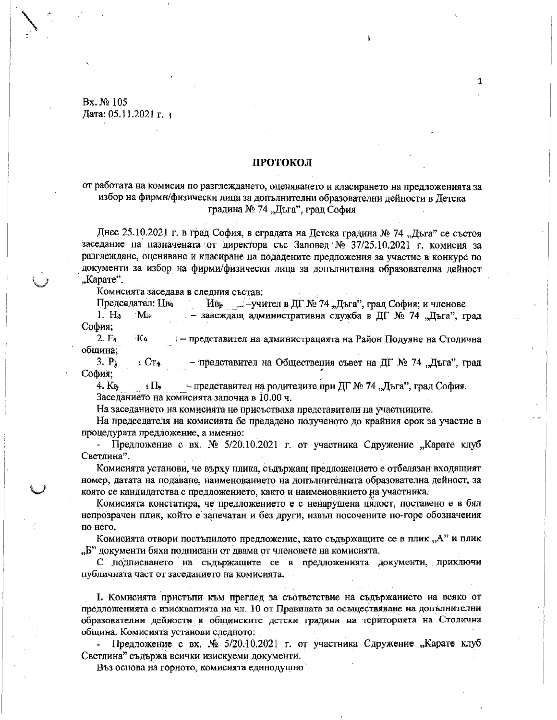Bx. № 105 Дата: 05.11.2021 г. з

## **ПРОТОКОЛ**

# от работата на комисия по разглеждането, оценяването и класирането на предложенията за избор на фирми/физически лица за допълнителни образователни дейности в Детска градина № 74 "Дъга", град София

Днес 25.10.2021 г. в град София, в сградата на Детска градина № 74 "Дъга" се състоя заседание на назначената от директора със Заповед № 37/25.10.2021 г. комисия за разглеждане, оценяване и класиране на подадените предложения за участие в конкурс по документи за избор на фирми/физически липа за лопълнителна образователна лейност "Карате".

Комисията заседава в следния състав:

Председател: Цв. Ив. ∠-учител в ДГ № 74 "Дъга", град София; и членове

 $1. H<sub>a</sub>$  $M_{\rm{in}}$ - завеждащ административна служба в ДГ № 74 "Дъга", град София;

 $2.E<sub>3</sub>$ - представител на администрацията на Район Подуяне на Столична K۵ обшина:

 $3. P.$  $\angle$  CT<sub>4</sub> - представител на Обществения съвет на ДГ № 74 "Дъга", град София:

4. Ka  $\sim$ представител на родителите при ДГ № 74 "Дъга", град София.  $\pm \Pi_{\bullet}$ Заседанието на комисията започна в 10.00 ч.

На заседанието на комисията не присъстваха представители на участниците.

На председателя на комисията бе предадено полученото до крайния срок за участие в процедурата предложение, а именно:

- Предложение с вх. № 5/20.10.2021 г. от участника Сдружение "Карате клуб Светлина".

Комисията установи, че върху плика, съдържащ предложението е отбелязан входящият номер, датата на подаване, наименованието на допълнителната образователна дейност, за която се кандидатства с предложението, както и наименованието на участника.

Комисията констатира, че предложението е с ненарушена цялост, поставено е в бял непрозрачен плик, който е запечатан и без други, извън посочените по-горе обозначения по него.

Комисията отвори постъпилото предложение, като съдържащите се в плик "А" и плик "Б" документи бяха подписани от двама от членовете на комисията.

С подписването на съдържащите се в предложенията документи, приключи публичната част от заседанието на комисията.

І. Комисията пристъпи към преглед за съответствие на съдържанието на всяко от предложенията с изискванията на чл. 10 от Правилата за осъществяване на допълнителни образователни дейности в общинските детски градини на територията на Столична община. Комисията установи следното:

• Предложение с вх.  $N_2$  5/20.10.2021 г. от участника Сдружение "Карате клуб Светлина" съдържа всички изискуеми документи.

Въз основа на горното, комисията единодушно

 $\mathbf{1}$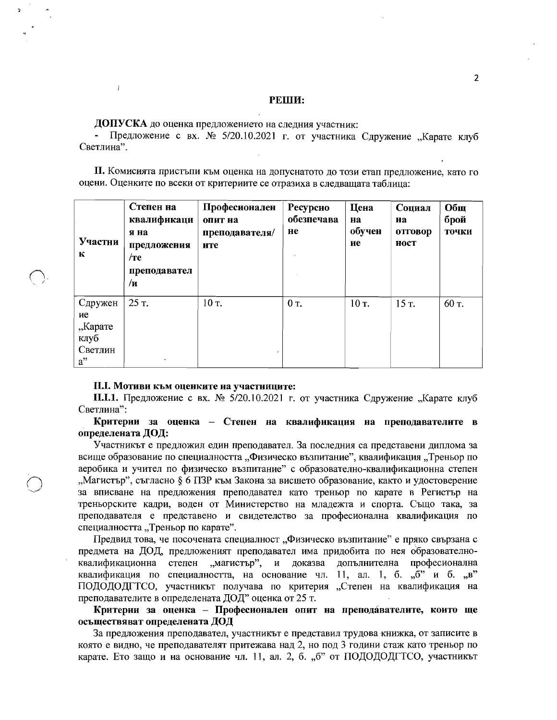### РЕШИ:

ДОПУСКА до оценка предложението на следния участник:

 $\overline{1}$ 

Предложение с вх. № 5/20.10.2021 г. от участника Сдружение "Карате клуб Светлина".

П. Комисията пристъпи към оценка на допуснатото до този етап предложение, като го оцени. Оценките по всеки от критериите се отразиха в следващата таблица:

| Участни<br>К                                         | Степен на<br>квалификаци<br>я на<br>предложения<br>$/$ те<br>преподавател<br>$/\mathbf{H}$ | Професионален<br>опит на<br>преподавателя/<br>ите | Ресурсно<br>обезпечава<br>He | Цена<br>на<br>обучен<br>ие | Социал<br>на<br>отговор<br>ност | Общ<br>брой<br>точки |
|------------------------------------------------------|--------------------------------------------------------------------------------------------|---------------------------------------------------|------------------------------|----------------------------|---------------------------------|----------------------|
| Сдружен<br>ие<br>"Карате<br>клуб<br>Светлин<br>$a$ " | 25 T.<br>$\bullet$                                                                         | $10$ T.                                           | 0 T.                         | 10 т.                      | 15 T.                           | 60 T.                |

#### II.I. Мотиви към оценките на участниците:

**II.I.1.** Предложение с вх. № 5/20.10.2021 г. от участника Сдружение "Карате клуб Светлина":

Критерии за оценка – Степен на квалификация на преподавателите в определената ДОД:

Участникът е предложил един преподавател. За последния са представени диплома за всище образование по специалността "Физическо възпитание", квалификация "Треньор по аеробика и учител по физическо възпитание" с образователно-квалификационна степен "Магистър", съгласно § 6 ПЗР към Закона за висшето образование, както и удостоверение за вписване на предложения преподавател като треньор по карате в Регистър на треньорските кадри, воден от Министерство на младежта и спорта. Също така, за преподавателя е представено и свидетелство за професионална квалификация по специалността "Треньор по карате".

Предвид това, че посочената специалност "Физическо възпитание" е пряко свързана с предмета на ДОД, предложеният преподавател има придобита по нея образователноквалификационна степен "магистър", и доказва допълнителна професионална квалификация по специалността, на основание чл. 11, ал. 1, б. "б" и б. "в" ПОДОДОДГТСО, участникът получава по критерия "Степен на квалификация на преподавателите в определената ДОД" оценка от 25 т.

Критерии за оценка - Професионален опит на преподавателите, които ще осъществяват определената ДОД

За предложения преподавател, участникът е представил трудова книжка, от записите в която е видно, че преподавателят притежава над 2, но под 3 години стаж като треньор по карате. Ето защо и на основание чл. 11, ал. 2, б. "б" от ПОДОДОДГТСО, участникът